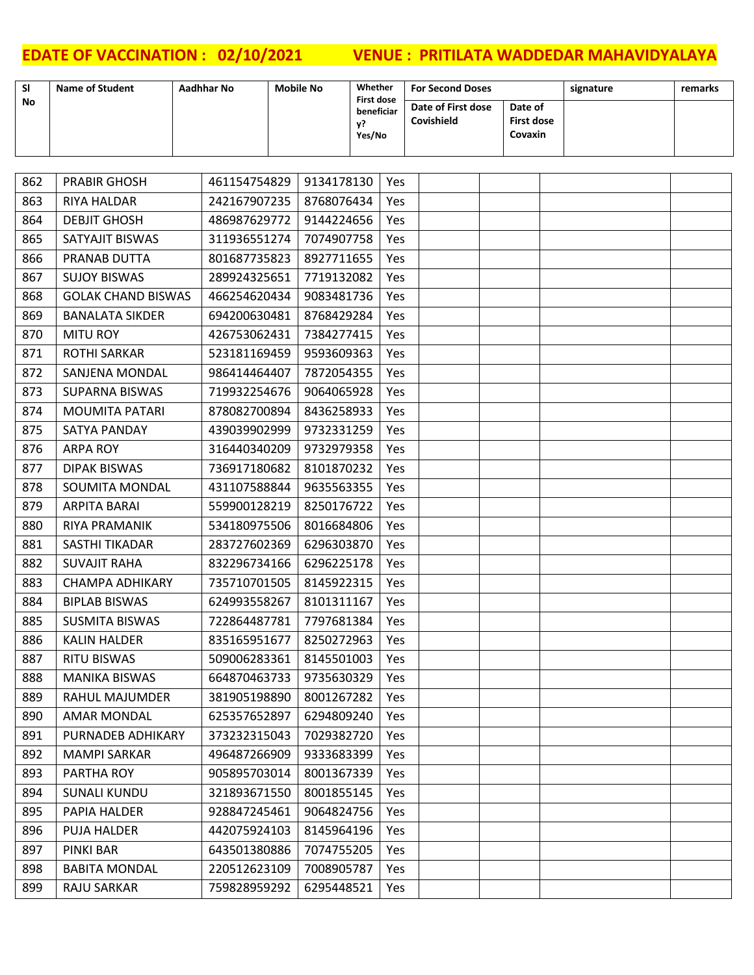| SI  | <b>Name of Student</b>    | <b>Aadhhar No</b> | <b>Mobile No</b>                                | Whether |            | <b>For Second Doses</b>          |                                         | signature | remarks |
|-----|---------------------------|-------------------|-------------------------------------------------|---------|------------|----------------------------------|-----------------------------------------|-----------|---------|
| No  |                           |                   | <b>First dose</b><br>beneficiar<br>у?<br>Yes/No |         |            | Date of First dose<br>Covishield | Date of<br><b>First dose</b><br>Covaxin |           |         |
|     |                           |                   |                                                 |         |            |                                  |                                         |           |         |
| 862 | <b>PRABIR GHOSH</b>       | 461154754829      | 9134178130                                      |         | Yes        |                                  |                                         |           |         |
| 863 | <b>RIYA HALDAR</b>        | 242167907235      | 8768076434                                      |         | <b>Yes</b> |                                  |                                         |           |         |
| 864 | <b>DEBJIT GHOSH</b>       | 486987629772      | 9144224656                                      |         | Yes        |                                  |                                         |           |         |
| 865 | SATYAJIT BISWAS           | 311936551274      | 7074907758                                      |         | Yes        |                                  |                                         |           |         |
| 866 | PRANAB DUTTA              | 801687735823      | 8927711655                                      |         | Yes        |                                  |                                         |           |         |
| 867 | <b>SUJOY BISWAS</b>       | 289924325651      | 7719132082                                      |         | Yes        |                                  |                                         |           |         |
| 868 | <b>GOLAK CHAND BISWAS</b> | 466254620434      | 9083481736                                      |         | Yes        |                                  |                                         |           |         |
| 869 | <b>BANALATA SIKDER</b>    | 694200630481      | 8768429284                                      |         | Yes        |                                  |                                         |           |         |
| 870 | <b>MITU ROY</b>           | 426753062431      | 7384277415                                      |         | Yes        |                                  |                                         |           |         |
| 871 | <b>ROTHI SARKAR</b>       | 523181169459      | 9593609363                                      |         | Yes        |                                  |                                         |           |         |
| 872 | <b>SANJENA MONDAL</b>     | 986414464407      | 7872054355                                      |         | Yes        |                                  |                                         |           |         |
| 873 | <b>SUPARNA BISWAS</b>     | 719932254676      | 9064065928                                      |         | Yes        |                                  |                                         |           |         |
| 874 | <b>MOUMITA PATARI</b>     | 878082700894      | 8436258933                                      |         | Yes        |                                  |                                         |           |         |
| 875 | <b>SATYA PANDAY</b>       | 439039902999      | 9732331259                                      |         | Yes        |                                  |                                         |           |         |
| 876 | <b>ARPA ROY</b>           | 316440340209      | 9732979358                                      |         | Yes        |                                  |                                         |           |         |
| 877 | <b>DIPAK BISWAS</b>       | 736917180682      | 8101870232                                      |         | Yes        |                                  |                                         |           |         |
| 878 | <b>SOUMITA MONDAL</b>     | 431107588844      | 9635563355                                      |         | Yes        |                                  |                                         |           |         |
| 879 | <b>ARPITA BARAI</b>       | 559900128219      | 8250176722                                      |         | Yes        |                                  |                                         |           |         |
| 880 | RIYA PRAMANIK             | 534180975506      | 8016684806                                      |         | Yes        |                                  |                                         |           |         |
| 881 | SASTHI TIKADAR            | 283727602369      | 6296303870                                      |         | Yes        |                                  |                                         |           |         |
| 882 | <b>SUVAJIT RAHA</b>       | 832296734166      | 6296225178                                      |         | Yes        |                                  |                                         |           |         |
| 883 | <b>CHAMPA ADHIKARY</b>    | 735710701505      | 8145922315                                      |         | Yes        |                                  |                                         |           |         |
| 884 | <b>BIPLAB BISWAS</b>      | 624993558267      | 8101311167                                      |         | Yes        |                                  |                                         |           |         |
| 885 | <b>SUSMITA BISWAS</b>     | 722864487781      | 7797681384                                      |         | Yes        |                                  |                                         |           |         |
| 886 | <b>KALIN HALDER</b>       | 835165951677      | 8250272963                                      |         | Yes        |                                  |                                         |           |         |
| 887 | <b>RITU BISWAS</b>        | 509006283361      | 8145501003                                      |         | Yes        |                                  |                                         |           |         |
| 888 | <b>MANIKA BISWAS</b>      | 664870463733      | 9735630329                                      |         | Yes        |                                  |                                         |           |         |
| 889 | <b>RAHUL MAJUMDER</b>     | 381905198890      | 8001267282                                      |         | Yes        |                                  |                                         |           |         |
| 890 | <b>AMAR MONDAL</b>        | 625357652897      | 6294809240                                      |         | Yes        |                                  |                                         |           |         |
| 891 | PURNADEB ADHIKARY         | 373232315043      | 7029382720                                      |         | Yes        |                                  |                                         |           |         |
| 892 | <b>MAMPI SARKAR</b>       | 496487266909      | 9333683399                                      |         | Yes        |                                  |                                         |           |         |
| 893 | PARTHA ROY                | 905895703014      | 8001367339                                      |         | Yes        |                                  |                                         |           |         |
| 894 | <b>SUNALI KUNDU</b>       | 321893671550      | 8001855145                                      |         | Yes        |                                  |                                         |           |         |
| 895 | PAPIA HALDER              | 928847245461      | 9064824756                                      |         | Yes        |                                  |                                         |           |         |
| 896 | <b>PUJA HALDER</b>        | 442075924103      | 8145964196                                      |         | Yes        |                                  |                                         |           |         |
| 897 | PINKI BAR                 | 643501380886      | 7074755205                                      |         | Yes        |                                  |                                         |           |         |
| 898 | <b>BABITA MONDAL</b>      | 220512623109      | 7008905787                                      |         | Yes        |                                  |                                         |           |         |
| 899 | RAJU SARKAR               | 759828959292      | 6295448521                                      |         | Yes        |                                  |                                         |           |         |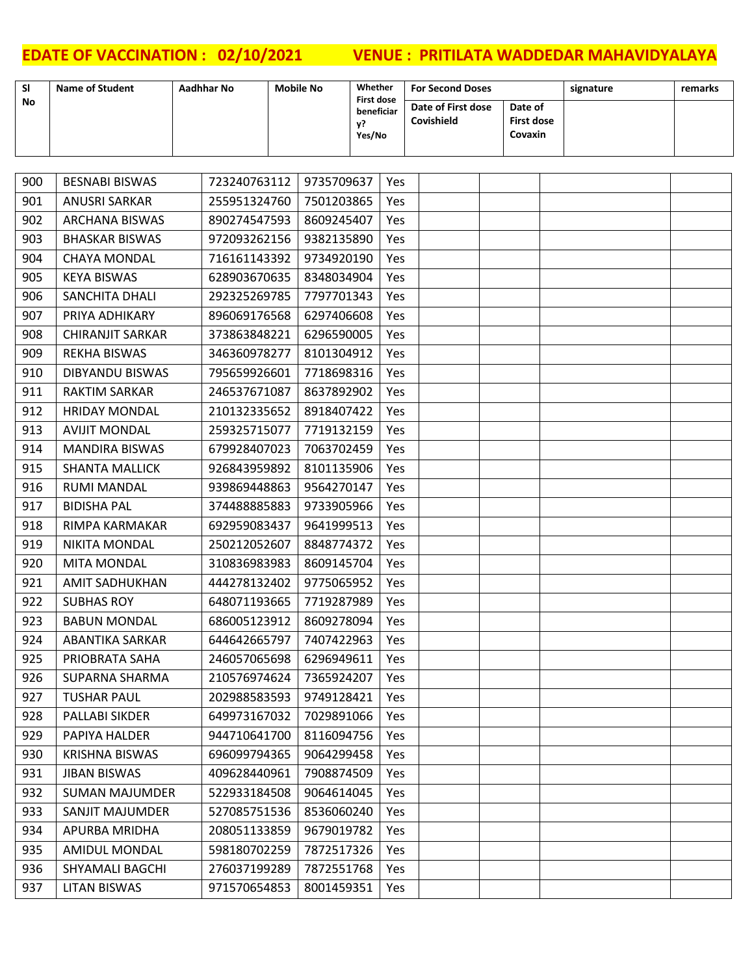| <b>SI</b> | <b>Name of Student</b>  | Aadhhar No   | <b>Mobile No</b> | Whether                         |     | <b>For Second Doses</b> |                              | signature | remarks |
|-----------|-------------------------|--------------|------------------|---------------------------------|-----|-------------------------|------------------------------|-----------|---------|
| No        |                         |              |                  | <b>First dose</b><br>beneficiar |     | Date of First dose      | Date of                      |           |         |
|           |                         |              |                  | у?<br>Yes/No                    |     | Covishield              | <b>First dose</b><br>Covaxin |           |         |
|           |                         |              |                  |                                 |     |                         |                              |           |         |
|           |                         |              |                  |                                 |     |                         |                              |           |         |
| 900       | <b>BESNABI BISWAS</b>   | 723240763112 | 9735709637       |                                 | Yes |                         |                              |           |         |
| 901       | <b>ANUSRI SARKAR</b>    | 255951324760 | 7501203865       |                                 | Yes |                         |                              |           |         |
| 902       | <b>ARCHANA BISWAS</b>   | 890274547593 | 8609245407       |                                 | Yes |                         |                              |           |         |
| 903       | <b>BHASKAR BISWAS</b>   | 972093262156 | 9382135890       |                                 | Yes |                         |                              |           |         |
| 904       | <b>CHAYA MONDAL</b>     | 716161143392 | 9734920190       |                                 | Yes |                         |                              |           |         |
| 905       | <b>KEYA BISWAS</b>      | 628903670635 | 8348034904       |                                 | Yes |                         |                              |           |         |
| 906       | <b>SANCHITA DHALI</b>   | 292325269785 | 7797701343       |                                 | Yes |                         |                              |           |         |
| 907       | PRIYA ADHIKARY          | 896069176568 | 6297406608       |                                 | Yes |                         |                              |           |         |
| 908       | <b>CHIRANJIT SARKAR</b> | 373863848221 | 6296590005       |                                 | Yes |                         |                              |           |         |
| 909       | <b>REKHA BISWAS</b>     | 346360978277 | 8101304912       |                                 | Yes |                         |                              |           |         |
| 910       | <b>DIBYANDU BISWAS</b>  | 795659926601 | 7718698316       |                                 | Yes |                         |                              |           |         |
| 911       | <b>RAKTIM SARKAR</b>    | 246537671087 | 8637892902       |                                 | Yes |                         |                              |           |         |
| 912       | <b>HRIDAY MONDAL</b>    | 210132335652 | 8918407422       |                                 | Yes |                         |                              |           |         |
| 913       | <b>AVIJIT MONDAL</b>    | 259325715077 | 7719132159       |                                 | Yes |                         |                              |           |         |
| 914       | <b>MANDIRA BISWAS</b>   | 679928407023 | 7063702459       |                                 | Yes |                         |                              |           |         |
| 915       | <b>SHANTA MALLICK</b>   | 926843959892 | 8101135906       |                                 | Yes |                         |                              |           |         |
| 916       | <b>RUMI MANDAL</b>      | 939869448863 | 9564270147       |                                 | Yes |                         |                              |           |         |
| 917       | <b>BIDISHA PAL</b>      | 374488885883 | 9733905966       |                                 | Yes |                         |                              |           |         |
| 918       | RIMPA KARMAKAR          | 692959083437 | 9641999513       |                                 | Yes |                         |                              |           |         |
| 919       | <b>NIKITA MONDAL</b>    | 250212052607 | 8848774372       |                                 | Yes |                         |                              |           |         |
| 920       | <b>MITA MONDAL</b>      | 310836983983 | 8609145704       |                                 | Yes |                         |                              |           |         |
| 921       | <b>AMIT SADHUKHAN</b>   | 444278132402 | 9775065952       |                                 | Yes |                         |                              |           |         |
| 922       | <b>SUBHAS ROY</b>       | 648071193665 | 7719287989       |                                 | Yes |                         |                              |           |         |
| 923       | <b>BABUN MONDAL</b>     | 686005123912 | 8609278094       |                                 | Yes |                         |                              |           |         |
| 924       | <b>ABANTIKA SARKAR</b>  | 644642665797 | 7407422963       |                                 | Yes |                         |                              |           |         |
| 925       | PRIOBRATA SAHA          | 246057065698 | 6296949611       |                                 | Yes |                         |                              |           |         |
| 926       | SUPARNA SHARMA          | 210576974624 | 7365924207       |                                 | Yes |                         |                              |           |         |
| 927       | <b>TUSHAR PAUL</b>      | 202988583593 | 9749128421       |                                 | Yes |                         |                              |           |         |
| 928       | PALLABI SIKDER          | 649973167032 | 7029891066       |                                 | Yes |                         |                              |           |         |
| 929       | PAPIYA HALDER           | 944710641700 | 8116094756       |                                 | Yes |                         |                              |           |         |
| 930       | <b>KRISHNA BISWAS</b>   | 696099794365 | 9064299458       |                                 | Yes |                         |                              |           |         |
| 931       | <b>JIBAN BISWAS</b>     | 409628440961 | 7908874509       |                                 | Yes |                         |                              |           |         |
| 932       | <b>SUMAN MAJUMDER</b>   | 522933184508 | 9064614045       |                                 | Yes |                         |                              |           |         |
| 933       | SANJIT MAJUMDER         | 527085751536 | 8536060240       |                                 | Yes |                         |                              |           |         |
| 934       | APURBA MRIDHA           | 208051133859 | 9679019782       |                                 | Yes |                         |                              |           |         |
| 935       | <b>AMIDUL MONDAL</b>    | 598180702259 | 7872517326       |                                 | Yes |                         |                              |           |         |
| 936       | SHYAMALI BAGCHI         | 276037199289 | 7872551768       |                                 | Yes |                         |                              |           |         |
| 937       | <b>LITAN BISWAS</b>     | 971570654853 | 8001459351       |                                 | Yes |                         |                              |           |         |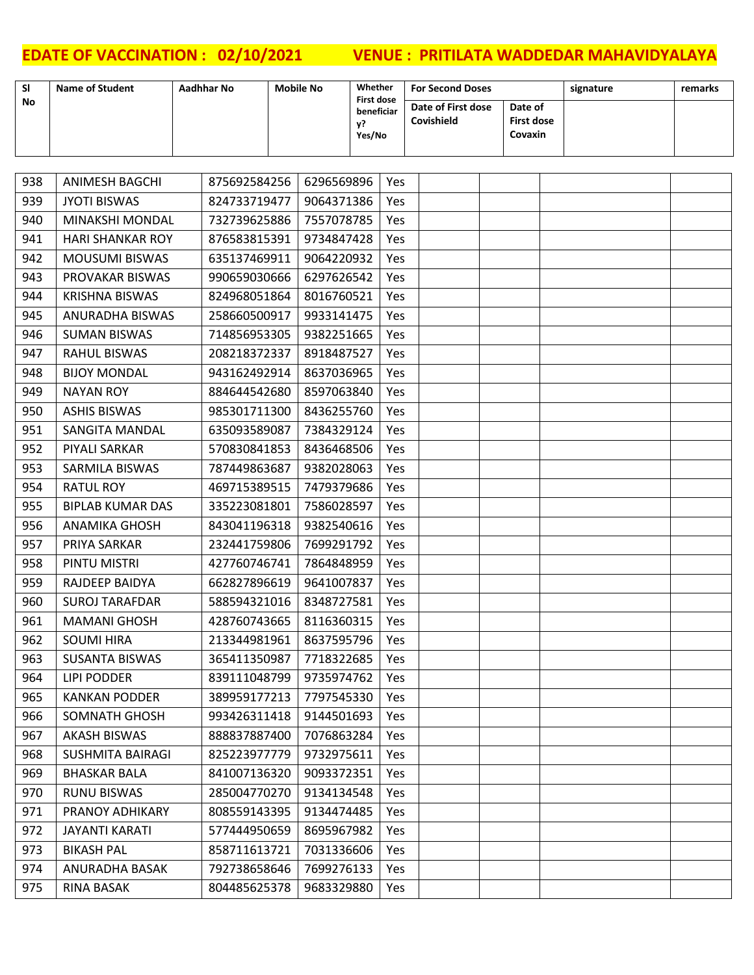| <b>SI</b> | <b>Name of Student</b>  | Aadhhar No   | <b>Mobile No</b> |                            | Whether<br><b>First dose</b> |            | <b>For Second Doses</b>          |                                         | signature | remarks |
|-----------|-------------------------|--------------|------------------|----------------------------|------------------------------|------------|----------------------------------|-----------------------------------------|-----------|---------|
| No        |                         |              |                  | beneficiar<br>у?<br>Yes/No |                              |            | Date of First dose<br>Covishield | Date of<br><b>First dose</b><br>Covaxin |           |         |
|           |                         |              |                  |                            |                              |            |                                  |                                         |           |         |
| 938       | <b>ANIMESH BAGCHI</b>   | 875692584256 |                  | 6296569896                 |                              | Yes        |                                  |                                         |           |         |
| 939       | <b>JYOTI BISWAS</b>     | 824733719477 |                  | 9064371386                 |                              | Yes        |                                  |                                         |           |         |
| 940       | MINAKSHI MONDAL         | 732739625886 |                  | 7557078785                 |                              | Yes        |                                  |                                         |           |         |
| 941       | <b>HARI SHANKAR ROY</b> | 876583815391 |                  | 9734847428                 |                              | Yes        |                                  |                                         |           |         |
| 942       | <b>MOUSUMI BISWAS</b>   | 635137469911 |                  | 9064220932                 |                              | Yes        |                                  |                                         |           |         |
| 943       | PROVAKAR BISWAS         | 990659030666 |                  | 6297626542                 |                              | Yes        |                                  |                                         |           |         |
| 944       | <b>KRISHNA BISWAS</b>   | 824968051864 |                  | 8016760521                 |                              | Yes        |                                  |                                         |           |         |
| 945       | ANURADHA BISWAS         | 258660500917 |                  | 9933141475                 |                              | Yes        |                                  |                                         |           |         |
| 946       | <b>SUMAN BISWAS</b>     | 714856953305 |                  | 9382251665                 |                              | Yes        |                                  |                                         |           |         |
| 947       | <b>RAHUL BISWAS</b>     | 208218372337 |                  | 8918487527                 |                              | Yes        |                                  |                                         |           |         |
| 948       | <b>BIJOY MONDAL</b>     | 943162492914 |                  | 8637036965                 |                              | Yes        |                                  |                                         |           |         |
| 949       | <b>NAYAN ROY</b>        | 884644542680 |                  | 8597063840                 |                              | Yes        |                                  |                                         |           |         |
| 950       | <b>ASHIS BISWAS</b>     | 985301711300 |                  | 8436255760                 |                              | Yes        |                                  |                                         |           |         |
| 951       | <b>SANGITA MANDAL</b>   | 635093589087 |                  | 7384329124                 |                              | Yes        |                                  |                                         |           |         |
| 952       | PIYALI SARKAR           | 570830841853 |                  | 8436468506                 |                              | Yes        |                                  |                                         |           |         |
| 953       | SARMILA BISWAS          | 787449863687 |                  | 9382028063                 |                              | Yes        |                                  |                                         |           |         |
| 954       | <b>RATUL ROY</b>        | 469715389515 |                  | 7479379686                 |                              | Yes        |                                  |                                         |           |         |
| 955       | <b>BIPLAB KUMAR DAS</b> | 335223081801 |                  | 7586028597                 |                              | Yes        |                                  |                                         |           |         |
| 956       | <b>ANAMIKA GHOSH</b>    | 843041196318 |                  | 9382540616                 |                              | Yes        |                                  |                                         |           |         |
| 957       | PRIYA SARKAR            | 232441759806 |                  | 7699291792                 |                              | Yes        |                                  |                                         |           |         |
| 958       | PINTU MISTRI            | 427760746741 |                  | 7864848959                 |                              | Yes        |                                  |                                         |           |         |
| 959       | RAJDEEP BAIDYA          | 662827896619 |                  | 9641007837                 |                              | Yes        |                                  |                                         |           |         |
| 960       | <b>SUROJ TARAFDAR</b>   | 588594321016 |                  | 8348727581                 |                              | Yes        |                                  |                                         |           |         |
| 961       | <b>MAMANI GHOSH</b>     | 428760743665 |                  | 8116360315                 |                              | Yes        |                                  |                                         |           |         |
| 962       | <b>SOUMI HIRA</b>       | 213344981961 |                  | 8637595796                 |                              | Yes        |                                  |                                         |           |         |
| 963       | <b>SUSANTA BISWAS</b>   | 365411350987 |                  | 7718322685                 |                              | Yes        |                                  |                                         |           |         |
| 964       | LIPI PODDER             | 839111048799 |                  | 9735974762                 |                              | Yes        |                                  |                                         |           |         |
| 965       | <b>KANKAN PODDER</b>    | 389959177213 |                  | 7797545330                 |                              | Yes        |                                  |                                         |           |         |
| 966       | SOMNATH GHOSH           | 993426311418 |                  | 9144501693                 |                              | <b>Yes</b> |                                  |                                         |           |         |
| 967       | <b>AKASH BISWAS</b>     | 888837887400 |                  | 7076863284                 |                              | Yes        |                                  |                                         |           |         |
| 968       | <b>SUSHMITA BAIRAGI</b> | 825223977779 |                  | 9732975611                 |                              | Yes        |                                  |                                         |           |         |
| 969       | <b>BHASKAR BALA</b>     | 841007136320 |                  | 9093372351                 |                              | Yes        |                                  |                                         |           |         |
| 970       | <b>RUNU BISWAS</b>      | 285004770270 |                  | 9134134548                 |                              | Yes        |                                  |                                         |           |         |
| 971       | PRANOY ADHIKARY         | 808559143395 |                  | 9134474485                 |                              | Yes        |                                  |                                         |           |         |
| 972       | <b>JAYANTI KARATI</b>   | 577444950659 |                  | 8695967982                 |                              | Yes        |                                  |                                         |           |         |
| 973       | <b>BIKASH PAL</b>       | 858711613721 |                  | 7031336606                 |                              | Yes        |                                  |                                         |           |         |
| 974       | ANURADHA BASAK          | 792738658646 |                  | 7699276133                 |                              | Yes        |                                  |                                         |           |         |
| 975       | RINA BASAK              | 804485625378 |                  | 9683329880                 |                              | Yes        |                                  |                                         |           |         |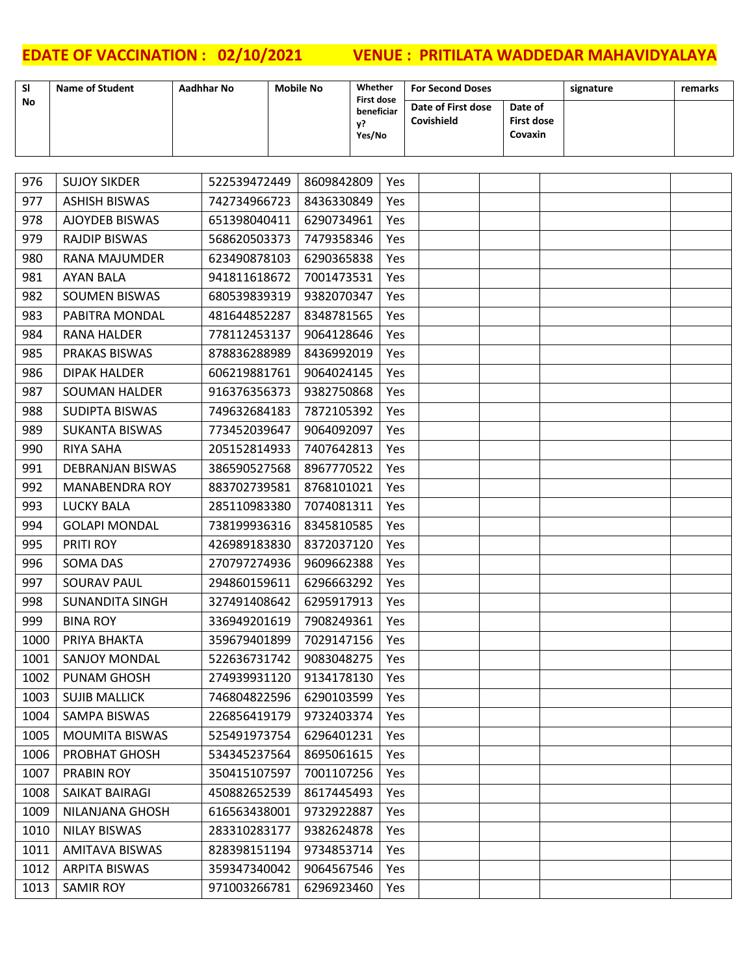┓

| <b>SI</b> | <b>Name of Student</b>  | Aadhhar No   | <b>Mobile No</b> |            | Whether                               |            | <b>For Second Doses</b>          |                              | signature | remarks |
|-----------|-------------------------|--------------|------------------|------------|---------------------------------------|------------|----------------------------------|------------------------------|-----------|---------|
| No        |                         |              |                  |            | <b>First dose</b><br>beneficiar<br>у? |            | Date of First dose<br>Covishield | Date of<br><b>First dose</b> |           |         |
|           |                         |              |                  |            | Yes/No                                |            |                                  | Covaxin                      |           |         |
|           |                         |              |                  |            |                                       |            |                                  |                              |           |         |
| 976       | <b>SUJOY SIKDER</b>     | 522539472449 |                  | 8609842809 |                                       | Yes        |                                  |                              |           |         |
| 977       | <b>ASHISH BISWAS</b>    | 742734966723 |                  | 8436330849 |                                       | <b>Yes</b> |                                  |                              |           |         |
| 978       | AJOYDEB BISWAS          | 651398040411 |                  | 6290734961 |                                       | Yes        |                                  |                              |           |         |
| 979       | <b>RAJDIP BISWAS</b>    | 568620503373 |                  | 7479358346 |                                       | Yes        |                                  |                              |           |         |
| 980       | <b>RANA MAJUMDER</b>    | 623490878103 |                  | 6290365838 |                                       | Yes        |                                  |                              |           |         |
| 981       | <b>AYAN BALA</b>        | 941811618672 |                  | 7001473531 |                                       | Yes        |                                  |                              |           |         |
| 982       | <b>SOUMEN BISWAS</b>    | 680539839319 |                  | 9382070347 |                                       | Yes        |                                  |                              |           |         |
| 983       | PABITRA MONDAL          | 481644852287 |                  | 8348781565 |                                       | Yes        |                                  |                              |           |         |
| 984       | <b>RANA HALDER</b>      | 778112453137 |                  | 9064128646 |                                       | Yes        |                                  |                              |           |         |
| 985       | <b>PRAKAS BISWAS</b>    | 878836288989 |                  | 8436992019 |                                       | <b>Yes</b> |                                  |                              |           |         |
| 986       | <b>DIPAK HALDER</b>     | 606219881761 |                  | 9064024145 |                                       | Yes        |                                  |                              |           |         |
| 987       | <b>SOUMAN HALDER</b>    | 916376356373 |                  | 9382750868 |                                       | Yes        |                                  |                              |           |         |
| 988       | <b>SUDIPTA BISWAS</b>   | 749632684183 |                  | 7872105392 |                                       | <b>Yes</b> |                                  |                              |           |         |
| 989       | <b>SUKANTA BISWAS</b>   | 773452039647 |                  | 9064092097 |                                       | Yes        |                                  |                              |           |         |
| 990       | RIYA SAHA               | 205152814933 |                  | 7407642813 |                                       | Yes        |                                  |                              |           |         |
| 991       | <b>DEBRANJAN BISWAS</b> | 386590527568 |                  | 8967770522 |                                       | Yes        |                                  |                              |           |         |
| 992       | <b>MANABENDRA ROY</b>   | 883702739581 |                  | 8768101021 |                                       | Yes        |                                  |                              |           |         |
| 993       | <b>LUCKY BALA</b>       | 285110983380 |                  | 7074081311 |                                       | Yes        |                                  |                              |           |         |
| 994       | <b>GOLAPI MONDAL</b>    | 738199936316 |                  | 8345810585 |                                       | Yes        |                                  |                              |           |         |
| 995       | PRITI ROY               | 426989183830 |                  | 8372037120 |                                       | <b>Yes</b> |                                  |                              |           |         |
| 996       | <b>SOMA DAS</b>         | 270797274936 |                  | 9609662388 |                                       | Yes        |                                  |                              |           |         |
| 997       | <b>SOURAV PAUL</b>      | 294860159611 |                  | 6296663292 |                                       | Yes        |                                  |                              |           |         |
| 998       | <b>SUNANDITA SINGH</b>  | 327491408642 |                  | 6295917913 |                                       | Yes        |                                  |                              |           |         |
| 999       | <b>BINA ROY</b>         | 336949201619 |                  | 7908249361 |                                       | Yes        |                                  |                              |           |         |
| 1000      | PRIYA BHAKTA            | 359679401899 |                  | 7029147156 |                                       | Yes        |                                  |                              |           |         |
| 1001      | <b>SANJOY MONDAL</b>    | 522636731742 |                  | 9083048275 |                                       | Yes        |                                  |                              |           |         |
| 1002      | <b>PUNAM GHOSH</b>      | 274939931120 |                  | 9134178130 |                                       | Yes        |                                  |                              |           |         |
| 1003      | <b>SUJIB MALLICK</b>    | 746804822596 |                  | 6290103599 |                                       | Yes        |                                  |                              |           |         |
| 1004      | SAMPA BISWAS            | 226856419179 |                  | 9732403374 |                                       | Yes        |                                  |                              |           |         |
| 1005      | <b>MOUMITA BISWAS</b>   | 525491973754 |                  | 6296401231 |                                       | Yes        |                                  |                              |           |         |
| 1006      | PROBHAT GHOSH           | 534345237564 |                  | 8695061615 |                                       | Yes        |                                  |                              |           |         |
| 1007      | <b>PRABIN ROY</b>       | 350415107597 |                  | 7001107256 |                                       | <b>Yes</b> |                                  |                              |           |         |
| 1008      | SAIKAT BAIRAGI          | 450882652539 |                  | 8617445493 |                                       | Yes        |                                  |                              |           |         |
| 1009      | NILANJANA GHOSH         | 616563438001 |                  | 9732922887 |                                       | Yes        |                                  |                              |           |         |
| 1010      | <b>NILAY BISWAS</b>     | 283310283177 |                  | 9382624878 |                                       | <b>Yes</b> |                                  |                              |           |         |
| 1011      | <b>AMITAVA BISWAS</b>   | 828398151194 |                  | 9734853714 |                                       | Yes        |                                  |                              |           |         |
| 1012      | <b>ARPITA BISWAS</b>    | 359347340042 |                  | 9064567546 |                                       | Yes        |                                  |                              |           |         |
| 1013      | <b>SAMIR ROY</b>        | 971003266781 |                  | 6296923460 |                                       | Yes        |                                  |                              |           |         |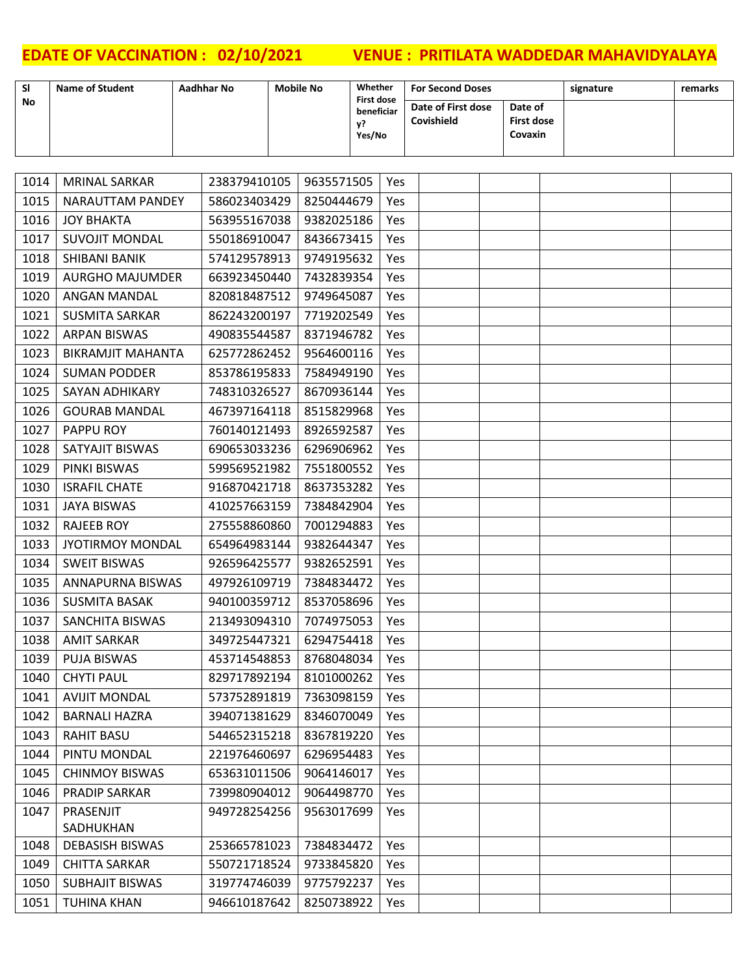1050 | SUBHAJIT BISWAS | 319774746039 | 9775792237 | Yes TUHINA KHAN 946610187642 8250738922 Yes

| <b>SI</b> | <b>Name of Student</b>   | <b>Aadhhar No</b> | <b>Mobile No</b> | Whether                         |            | <b>For Second Doses</b> |                   | signature | remarks |
|-----------|--------------------------|-------------------|------------------|---------------------------------|------------|-------------------------|-------------------|-----------|---------|
| <b>No</b> |                          |                   |                  | <b>First dose</b><br>beneficiar |            | Date of First dose      | Date of           |           |         |
|           |                          |                   |                  | y?                              |            | Covishield              | <b>First dose</b> |           |         |
|           |                          |                   |                  | Yes/No                          |            |                         | Covaxin           |           |         |
|           |                          |                   |                  |                                 |            |                         |                   |           |         |
| 1014      | <b>MRINAL SARKAR</b>     | 238379410105      | 9635571505       |                                 | Yes        |                         |                   |           |         |
| 1015      | NARAUTTAM PANDEY         | 586023403429      | 8250444679       |                                 | <b>Yes</b> |                         |                   |           |         |
| 1016      | <b>JOY BHAKTA</b>        | 563955167038      | 9382025186       |                                 | Yes        |                         |                   |           |         |
| 1017      | <b>SUVOJIT MONDAL</b>    | 550186910047      | 8436673415       |                                 | Yes        |                         |                   |           |         |
| 1018      | <b>SHIBANI BANIK</b>     | 574129578913      | 9749195632       |                                 | Yes        |                         |                   |           |         |
| 1019      | <b>AURGHO MAJUMDER</b>   | 663923450440      | 7432839354       |                                 | Yes        |                         |                   |           |         |
| 1020      | ANGAN MANDAL             | 820818487512      | 9749645087       |                                 | Yes        |                         |                   |           |         |
| 1021      | <b>SUSMITA SARKAR</b>    | 862243200197      | 7719202549       |                                 | Yes        |                         |                   |           |         |
| 1022      | <b>ARPAN BISWAS</b>      | 490835544587      | 8371946782       |                                 | Yes        |                         |                   |           |         |
| 1023      | <b>BIKRAMJIT MAHANTA</b> | 625772862452      | 9564600116       |                                 | Yes        |                         |                   |           |         |
| 1024      | <b>SUMAN PODDER</b>      | 853786195833      | 7584949190       |                                 | Yes        |                         |                   |           |         |
| 1025      | <b>SAYAN ADHIKARY</b>    | 748310326527      | 8670936144       |                                 | Yes        |                         |                   |           |         |
| 1026      | <b>GOURAB MANDAL</b>     | 467397164118      | 8515829968       |                                 | Yes        |                         |                   |           |         |
| 1027      | PAPPU ROY                | 760140121493      | 8926592587       |                                 | <b>Yes</b> |                         |                   |           |         |
| 1028      | SATYAJIT BISWAS          | 690653033236      | 6296906962       |                                 | Yes        |                         |                   |           |         |
| 1029      | PINKI BISWAS             | 599569521982      | 7551800552       |                                 | Yes        |                         |                   |           |         |
| 1030      | <b>ISRAFIL CHATE</b>     | 916870421718      | 8637353282       |                                 | Yes        |                         |                   |           |         |
| 1031      | <b>JAYA BISWAS</b>       | 410257663159      | 7384842904       |                                 | Yes        |                         |                   |           |         |
| 1032      | <b>RAJEEB ROY</b>        | 275558860860      | 7001294883       |                                 | Yes        |                         |                   |           |         |
| 1033      | <b>JYOTIRMOY MONDAL</b>  | 654964983144      | 9382644347       |                                 | Yes        |                         |                   |           |         |
| 1034      | <b>SWEIT BISWAS</b>      | 926596425577      | 9382652591       |                                 | Yes        |                         |                   |           |         |
| 1035      | ANNAPURNA BISWAS         | 497926109719      | 7384834472       |                                 | Yes        |                         |                   |           |         |
| 1036      | <b>SUSMITA BASAK</b>     | 940100359712      | 8537058696       |                                 | Yes        |                         |                   |           |         |
| 1037      | SANCHITA BISWAS          | 213493094310      | 7074975053       |                                 | Yes        |                         |                   |           |         |
| 1038      | AMIT SARKAR              | 349725447321      | 6294754418       |                                 | Yes        |                         |                   |           |         |
| 1039      | <b>PUJA BISWAS</b>       | 453714548853      | 8768048034       |                                 | Yes        |                         |                   |           |         |
| 1040      | <b>CHYTI PAUL</b>        | 829717892194      | 8101000262       |                                 | Yes        |                         |                   |           |         |
| 1041      | <b>AVIJIT MONDAL</b>     | 573752891819      | 7363098159       |                                 | Yes        |                         |                   |           |         |
| 1042      | <b>BARNALI HAZRA</b>     | 394071381629      | 8346070049       |                                 | Yes        |                         |                   |           |         |
| 1043      | <b>RAHIT BASU</b>        | 544652315218      | 8367819220       |                                 | Yes        |                         |                   |           |         |
| 1044      | PINTU MONDAL             | 221976460697      | 6296954483       |                                 | Yes        |                         |                   |           |         |
| 1045      | <b>CHINMOY BISWAS</b>    | 653631011506      | 9064146017       |                                 | Yes        |                         |                   |           |         |
| 1046      | <b>PRADIP SARKAR</b>     | 739980904012      | 9064498770       |                                 | Yes        |                         |                   |           |         |
| 1047      | PRASENJIT                | 949728254256      | 9563017699       |                                 | Yes        |                         |                   |           |         |
|           | SADHUKHAN                |                   |                  |                                 |            |                         |                   |           |         |
| 1048      | <b>DEBASISH BISWAS</b>   | 253665781023      | 7384834472       |                                 | Yes        |                         |                   |           |         |
| 1049      | <b>CHITTA SARKAR</b>     | 550721718524      | 9733845820       |                                 | Yes        |                         |                   |           |         |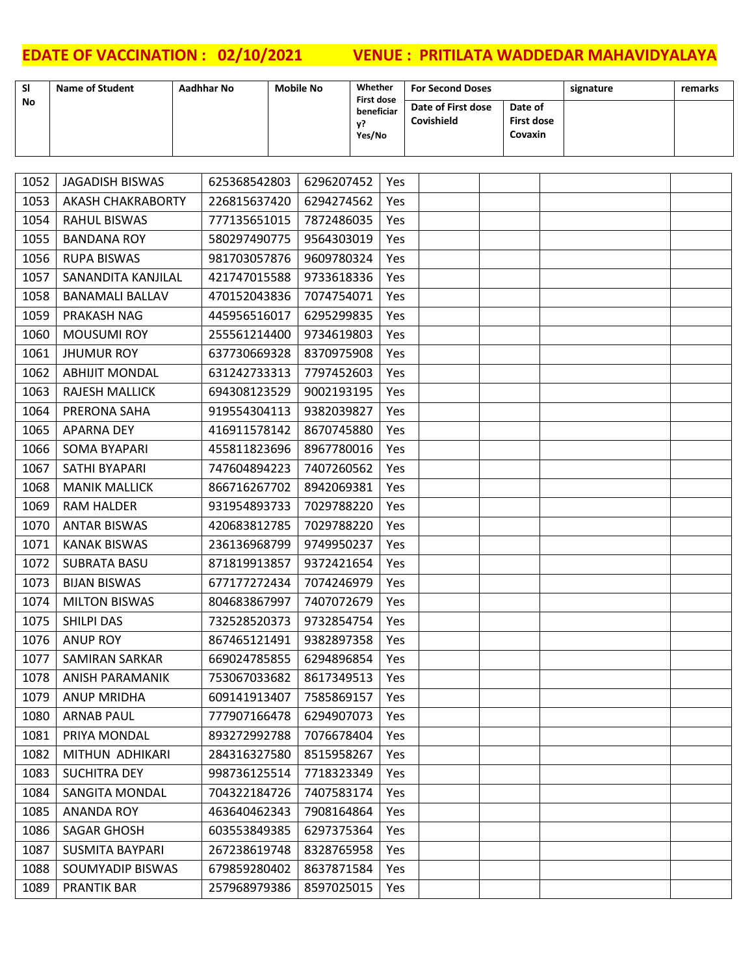| <b>SI</b> | <b>Name of Student</b>   | <b>Aadhhar No</b> | <b>Mobile No</b> |            | Whether                         |            | <b>For Second Doses</b> |                              | signature | remarks |
|-----------|--------------------------|-------------------|------------------|------------|---------------------------------|------------|-------------------------|------------------------------|-----------|---------|
| No        |                          |                   |                  |            | <b>First dose</b><br>beneficiar |            | Date of First dose      | Date of                      |           |         |
|           |                          |                   |                  |            | у?                              |            | Covishield              | <b>First dose</b><br>Covaxin |           |         |
|           |                          |                   |                  |            | Yes/No                          |            |                         |                              |           |         |
|           |                          |                   |                  |            |                                 |            |                         |                              |           |         |
| 1052      | <b>JAGADISH BISWAS</b>   | 625368542803      |                  | 6296207452 |                                 | Yes        |                         |                              |           |         |
| 1053      | <b>AKASH CHAKRABORTY</b> | 226815637420      |                  | 6294274562 |                                 | Yes        |                         |                              |           |         |
| 1054      | <b>RAHUL BISWAS</b>      | 777135651015      |                  | 7872486035 |                                 | Yes        |                         |                              |           |         |
| 1055      | <b>BANDANA ROY</b>       | 580297490775      |                  | 9564303019 |                                 | Yes        |                         |                              |           |         |
| 1056      | <b>RUPA BISWAS</b>       | 981703057876      |                  | 9609780324 |                                 | Yes        |                         |                              |           |         |
| 1057      | SANANDITA KANJILAL       | 421747015588      |                  | 9733618336 |                                 | Yes        |                         |                              |           |         |
| 1058      | <b>BANAMALI BALLAV</b>   | 470152043836      |                  | 7074754071 |                                 | Yes        |                         |                              |           |         |
| 1059      | PRAKASH NAG              | 445956516017      |                  | 6295299835 |                                 | Yes        |                         |                              |           |         |
| 1060      | <b>MOUSUMI ROY</b>       | 255561214400      |                  | 9734619803 |                                 | Yes        |                         |                              |           |         |
| 1061      | <b>JHUMUR ROY</b>        | 637730669328      |                  | 8370975908 |                                 | Yes        |                         |                              |           |         |
| 1062      | <b>ABHIJIT MONDAL</b>    | 631242733313      |                  | 7797452603 |                                 | Yes        |                         |                              |           |         |
| 1063      | <b>RAJESH MALLICK</b>    | 694308123529      |                  | 9002193195 |                                 | Yes        |                         |                              |           |         |
| 1064      | PRERONA SAHA             | 919554304113      |                  | 9382039827 |                                 | Yes        |                         |                              |           |         |
| 1065      | <b>APARNA DEY</b>        | 416911578142      |                  | 8670745880 |                                 | Yes        |                         |                              |           |         |
| 1066      | <b>SOMA BYAPARI</b>      | 455811823696      |                  | 8967780016 |                                 | Yes        |                         |                              |           |         |
| 1067      | SATHI BYAPARI            | 747604894223      |                  | 7407260562 |                                 | Yes        |                         |                              |           |         |
| 1068      | <b>MANIK MALLICK</b>     | 866716267702      |                  | 8942069381 |                                 | Yes        |                         |                              |           |         |
| 1069      | <b>RAM HALDER</b>        | 931954893733      |                  | 7029788220 |                                 | Yes        |                         |                              |           |         |
| 1070      | <b>ANTAR BISWAS</b>      | 420683812785      |                  | 7029788220 |                                 | Yes        |                         |                              |           |         |
| 1071      | <b>KANAK BISWAS</b>      | 236136968799      |                  | 9749950237 |                                 | Yes        |                         |                              |           |         |
| 1072      | <b>SUBRATA BASU</b>      | 871819913857      |                  | 9372421654 |                                 | Yes        |                         |                              |           |         |
| 1073      | <b>BIJAN BISWAS</b>      | 677177272434      |                  | 7074246979 |                                 | Yes        |                         |                              |           |         |
| 1074      | <b>MILTON BISWAS</b>     | 804683867997      |                  | 7407072679 |                                 | Yes        |                         |                              |           |         |
| 1075      | <b>SHILPI DAS</b>        | 732528520373      |                  | 9732854754 |                                 | <b>Yes</b> |                         |                              |           |         |
| 1076      | <b>ANUP ROY</b>          | 867465121491      |                  | 9382897358 |                                 | Yes        |                         |                              |           |         |
| 1077      | <b>SAMIRAN SARKAR</b>    | 669024785855      |                  | 6294896854 |                                 | Yes        |                         |                              |           |         |
| 1078      | <b>ANISH PARAMANIK</b>   | 753067033682      |                  | 8617349513 |                                 | Yes        |                         |                              |           |         |
| 1079      | <b>ANUP MRIDHA</b>       | 609141913407      |                  | 7585869157 |                                 | Yes        |                         |                              |           |         |
| 1080      | <b>ARNAB PAUL</b>        | 777907166478      |                  | 6294907073 |                                 | Yes        |                         |                              |           |         |
| 1081      | PRIYA MONDAL             | 893272992788      |                  | 7076678404 |                                 | Yes        |                         |                              |           |         |
| 1082      | MITHUN ADHIKARI          | 284316327580      |                  | 8515958267 |                                 | Yes        |                         |                              |           |         |
| 1083      | <b>SUCHITRA DEY</b>      | 998736125514      |                  | 7718323349 |                                 | Yes        |                         |                              |           |         |
| 1084      | <b>SANGITA MONDAL</b>    | 704322184726      |                  | 7407583174 |                                 | Yes        |                         |                              |           |         |
| 1085      | <b>ANANDA ROY</b>        | 463640462343      |                  | 7908164864 |                                 | Yes        |                         |                              |           |         |
| 1086      | <b>SAGAR GHOSH</b>       | 603553849385      |                  | 6297375364 |                                 | Yes        |                         |                              |           |         |
| 1087      | <b>SUSMITA BAYPARI</b>   | 267238619748      |                  | 8328765958 |                                 | <b>Yes</b> |                         |                              |           |         |
| 1088      | SOUMYADIP BISWAS         | 679859280402      |                  | 8637871584 |                                 | Yes        |                         |                              |           |         |
| 1089      | <b>PRANTIK BAR</b>       | 257968979386      |                  | 8597025015 |                                 | Yes        |                         |                              |           |         |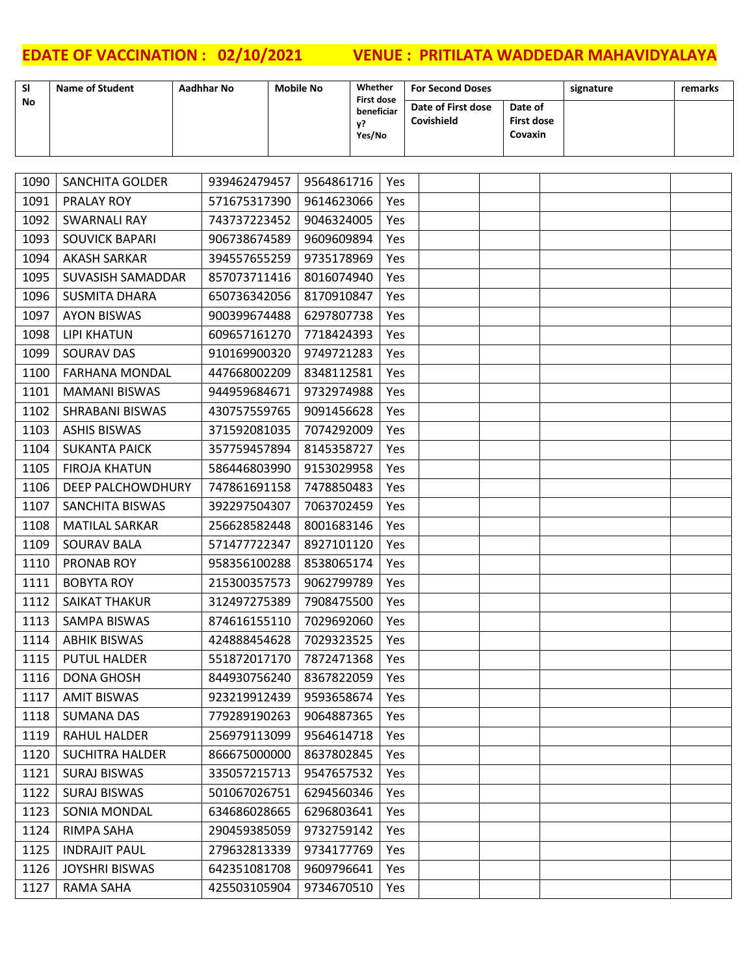| <b>SI</b> | <b>Name of Student</b>   | <b>Aadhhar No</b> | Whether<br><b>Mobile No</b><br><b>First dose</b> |                            |     | <b>For Second Doses</b>          |                                         | signature | remarks |  |
|-----------|--------------------------|-------------------|--------------------------------------------------|----------------------------|-----|----------------------------------|-----------------------------------------|-----------|---------|--|
| No        |                          |                   |                                                  | beneficiar<br>γ?<br>Yes/No |     | Date of First dose<br>Covishield | Date of<br><b>First dose</b><br>Covaxin |           |         |  |
|           |                          |                   |                                                  |                            |     |                                  |                                         |           |         |  |
| 1090      | <b>SANCHITA GOLDER</b>   | 939462479457      | 9564861716                                       |                            | Yes |                                  |                                         |           |         |  |
| 1091      | PRALAY ROY               | 571675317390      | 9614623066                                       |                            | Yes |                                  |                                         |           |         |  |
| 1092      | <b>SWARNALI RAY</b>      | 743737223452      | 9046324005                                       |                            | Yes |                                  |                                         |           |         |  |
| 1093      | <b>SOUVICK BAPARI</b>    | 906738674589      | 9609609894                                       |                            | Yes |                                  |                                         |           |         |  |
| 1094      | <b>AKASH SARKAR</b>      | 394557655259      | 9735178969                                       |                            | Yes |                                  |                                         |           |         |  |
| 1095      | SUVASISH SAMADDAR        | 857073711416      | 8016074940                                       |                            | Yes |                                  |                                         |           |         |  |
| 1096      | <b>SUSMITA DHARA</b>     | 650736342056      | 8170910847                                       |                            | Yes |                                  |                                         |           |         |  |
| 1097      | <b>AYON BISWAS</b>       | 900399674488      | 6297807738                                       |                            | Yes |                                  |                                         |           |         |  |
| 1098      | <b>LIPI KHATUN</b>       | 609657161270      | 7718424393                                       |                            | Yes |                                  |                                         |           |         |  |
| 1099      | <b>SOURAV DAS</b>        | 910169900320      | 9749721283                                       |                            | Yes |                                  |                                         |           |         |  |
| 1100      | <b>FARHANA MONDAL</b>    | 447668002209      | 8348112581                                       |                            | Yes |                                  |                                         |           |         |  |
| 1101      | <b>MAMANI BISWAS</b>     | 944959684671      | 9732974988                                       |                            | Yes |                                  |                                         |           |         |  |
| 1102      | <b>SHRABANI BISWAS</b>   | 430757559765      | 9091456628                                       |                            | Yes |                                  |                                         |           |         |  |
| 1103      | <b>ASHIS BISWAS</b>      | 371592081035      | 7074292009                                       |                            | Yes |                                  |                                         |           |         |  |
| 1104      | <b>SUKANTA PAICK</b>     | 357759457894      | 8145358727                                       |                            | Yes |                                  |                                         |           |         |  |
| 1105      | <b>FIROJA KHATUN</b>     | 586446803990      | 9153029958                                       |                            | Yes |                                  |                                         |           |         |  |
| 1106      | <b>DEEP PALCHOWDHURY</b> | 747861691158      | 7478850483                                       |                            | Yes |                                  |                                         |           |         |  |
| 1107      | <b>SANCHITA BISWAS</b>   | 392297504307      | 7063702459                                       |                            | Yes |                                  |                                         |           |         |  |
| 1108      | <b>MATILAL SARKAR</b>    | 256628582448      | 8001683146                                       |                            | Yes |                                  |                                         |           |         |  |
| 1109      | <b>SOURAV BALA</b>       | 571477722347      | 8927101120                                       |                            | Yes |                                  |                                         |           |         |  |
| 1110      | PRONAB ROY               | 958356100288      | 8538065174                                       |                            | Yes |                                  |                                         |           |         |  |
| 1111      | <b>BOBYTA ROY</b>        | 215300357573      | 9062799789                                       |                            | Yes |                                  |                                         |           |         |  |
| 1112      | <b>SAIKAT THAKUR</b>     | 312497275389      | 7908475500                                       |                            | Yes |                                  |                                         |           |         |  |
| 1113      | <b>SAMPA BISWAS</b>      | 874616155110      | 7029692060                                       |                            | Yes |                                  |                                         |           |         |  |
| 1114      | <b>ABHIK BISWAS</b>      | 424888454628      | 7029323525                                       |                            | Yes |                                  |                                         |           |         |  |
| 1115      | <b>PUTUL HALDER</b>      | 551872017170      | 7872471368                                       |                            | Yes |                                  |                                         |           |         |  |
| 1116      | DONA GHOSH               | 844930756240      | 8367822059                                       |                            | Yes |                                  |                                         |           |         |  |
| 1117      | <b>AMIT BISWAS</b>       | 923219912439      | 9593658674                                       |                            | Yes |                                  |                                         |           |         |  |
| 1118      | SUMANA DAS               | 779289190263      | 9064887365                                       |                            | Yes |                                  |                                         |           |         |  |
| 1119      | <b>RAHUL HALDER</b>      | 256979113099      | 9564614718                                       |                            | Yes |                                  |                                         |           |         |  |
| 1120      | <b>SUCHITRA HALDER</b>   | 866675000000      | 8637802845                                       |                            | Yes |                                  |                                         |           |         |  |
| 1121      | <b>SURAJ BISWAS</b>      | 335057215713      | 9547657532                                       |                            | Yes |                                  |                                         |           |         |  |
| 1122      | <b>SURAJ BISWAS</b>      | 501067026751      | 6294560346                                       |                            | Yes |                                  |                                         |           |         |  |
| 1123      | SONIA MONDAL             | 634686028665      | 6296803641                                       |                            | Yes |                                  |                                         |           |         |  |
| 1124      | <b>RIMPA SAHA</b>        | 290459385059      | 9732759142                                       |                            | Yes |                                  |                                         |           |         |  |
| 1125      | <b>INDRAJIT PAUL</b>     | 279632813339      | 9734177769                                       |                            | Yes |                                  |                                         |           |         |  |
| 1126      | <b>JOYSHRI BISWAS</b>    | 642351081708      | 9609796641                                       |                            | Yes |                                  |                                         |           |         |  |
| 1127      | <b>RAMA SAHA</b>         | 425503105904      | 9734670510                                       |                            | Yes |                                  |                                         |           |         |  |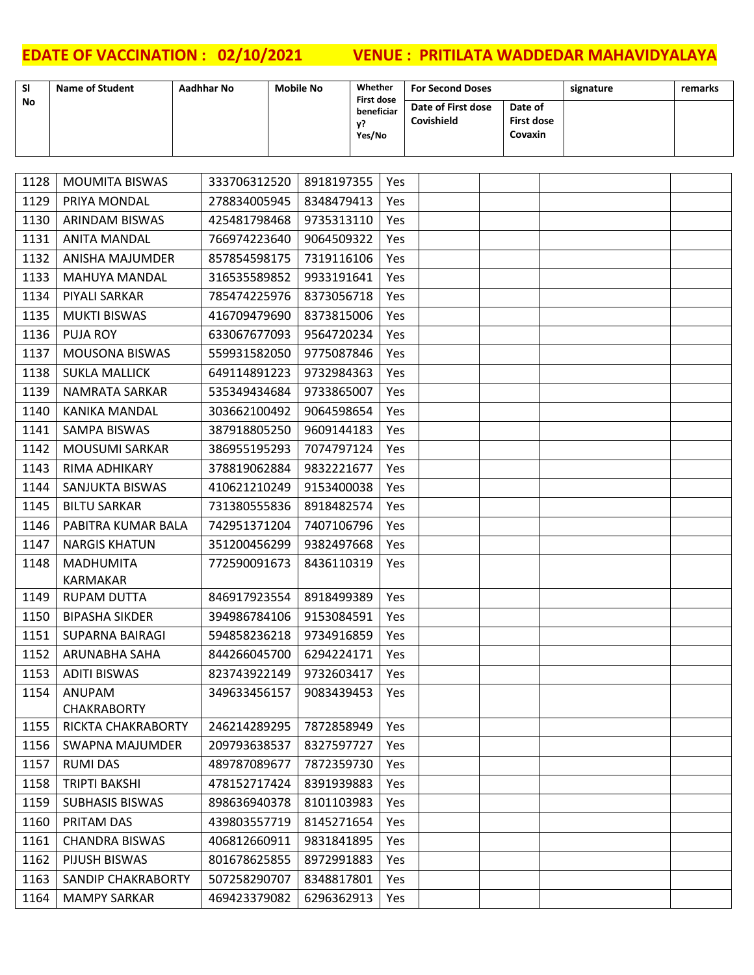| <b>SI</b> | <b>Name of Student</b>         | <b>Aadhhar No</b> | <b>Mobile No</b>                | Whether                               |            | <b>For Second Doses</b>          |                              | signature | remarks |
|-----------|--------------------------------|-------------------|---------------------------------|---------------------------------------|------------|----------------------------------|------------------------------|-----------|---------|
| No.       |                                |                   |                                 | <b>First dose</b><br>beneficiar<br>y? |            | Date of First dose<br>Covishield | Date of<br><b>First dose</b> |           |         |
|           |                                |                   |                                 | Yes/No                                |            |                                  | Covaxin                      |           |         |
|           |                                |                   |                                 |                                       |            |                                  |                              |           |         |
| 1128      | <b>MOUMITA BISWAS</b>          | 333706312520      | 8918197355                      |                                       | Yes        |                                  |                              |           |         |
| 1129      | PRIYA MONDAL                   | 278834005945      | 8348479413                      |                                       | Yes        |                                  |                              |           |         |
| 1130      | <b>ARINDAM BISWAS</b>          | 425481798468      | 9735313110                      |                                       | Yes        |                                  |                              |           |         |
| 1131      | <b>ANITA MANDAL</b>            | 766974223640      | 9064509322                      |                                       | Yes        |                                  |                              |           |         |
| 1132      | <b>ANISHA MAJUMDER</b>         | 857854598175      | 7319116106                      |                                       | Yes        |                                  |                              |           |         |
| 1133      | <b>MAHUYA MANDAL</b>           | 316535589852      | 9933191641                      |                                       | Yes        |                                  |                              |           |         |
| 1134      | PIYALI SARKAR                  | 785474225976      | 8373056718                      |                                       | Yes        |                                  |                              |           |         |
| 1135      | <b>MUKTI BISWAS</b>            | 416709479690      | 8373815006                      |                                       | Yes        |                                  |                              |           |         |
| 1136      | <b>PUJA ROY</b>                | 633067677093      | 9564720234                      |                                       | Yes        |                                  |                              |           |         |
| 1137      | MOUSONA BISWAS                 | 559931582050      | 9775087846                      |                                       | <b>Yes</b> |                                  |                              |           |         |
| 1138      | <b>SUKLA MALLICK</b>           | 649114891223      | 9732984363                      |                                       | Yes        |                                  |                              |           |         |
| 1139      | NAMRATA SARKAR                 | 535349434684      | 9733865007                      |                                       | Yes        |                                  |                              |           |         |
| 1140      | <b>KANIKA MANDAL</b>           | 303662100492      | 9064598654                      |                                       | <b>Yes</b> |                                  |                              |           |         |
| 1141      | SAMPA BISWAS                   | 387918805250      | 9609144183                      |                                       | Yes        |                                  |                              |           |         |
| 1142      | <b>MOUSUMI SARKAR</b>          | 386955195293      | 7074797124                      |                                       | Yes        |                                  |                              |           |         |
| 1143      | RIMA ADHIKARY                  | 378819062884      | 9832221677                      |                                       | Yes        |                                  |                              |           |         |
| 1144      | SANJUKTA BISWAS                | 410621210249      | 9153400038                      |                                       | Yes        |                                  |                              |           |         |
| 1145      | <b>BILTU SARKAR</b>            | 731380555836      | 8918482574                      |                                       | Yes        |                                  |                              |           |         |
| 1146      | PABITRA KUMAR BALA             | 742951371204      | 7407106796                      |                                       | Yes        |                                  |                              |           |         |
| 1147      | <b>NARGIS KHATUN</b>           | 351200456299      | 9382497668                      |                                       | Yes        |                                  |                              |           |         |
| 1148      | <b>MADHUMITA</b>               | 772590091673      | 8436110319                      |                                       | Yes        |                                  |                              |           |         |
| 1149      | KARMAKAR<br><b>RUPAM DUTTA</b> | 846917923554      | 8918499389                      |                                       | Yes        |                                  |                              |           |         |
| 1150      | <b>BIPASHA SIKDER</b>          | 394986784106      | 9153084591                      |                                       | Yes        |                                  |                              |           |         |
| 1151      | SUPARNA BAIRAGI                |                   | 594858236218   9734916859   Yes |                                       |            |                                  |                              |           |         |
| 1152      | ARUNABHA SAHA                  | 844266045700      | 6294224171                      |                                       | <b>Yes</b> |                                  |                              |           |         |
| 1153      | ADITI BISWAS                   | 823743922149      | 9732603417                      |                                       | Yes        |                                  |                              |           |         |
| 1154      | ANUPAM                         | 349633456157      | 9083439453                      |                                       | Yes        |                                  |                              |           |         |
|           | <b>CHAKRABORTY</b>             |                   |                                 |                                       |            |                                  |                              |           |         |
| 1155      | RICKTA CHAKRABORTY             | 246214289295      | 7872858949                      |                                       | <b>Yes</b> |                                  |                              |           |         |
| 1156      | SWAPNA MAJUMDER                | 209793638537      | 8327597727                      |                                       | <b>Yes</b> |                                  |                              |           |         |
| 1157      | <b>RUMI DAS</b>                | 489787089677      | 7872359730                      |                                       | Yes        |                                  |                              |           |         |
| 1158      | <b>TRIPTI BAKSHI</b>           | 478152717424      | 8391939883                      |                                       | Yes        |                                  |                              |           |         |
| 1159      | <b>SUBHASIS BISWAS</b>         | 898636940378      | 8101103983                      |                                       | Yes        |                                  |                              |           |         |
| 1160      | PRITAM DAS                     | 439803557719      | 8145271654                      |                                       | Yes        |                                  |                              |           |         |
| 1161      | <b>CHANDRA BISWAS</b>          | 406812660911      | 9831841895                      |                                       | Yes        |                                  |                              |           |         |
| 1162      | PIJUSH BISWAS                  | 801678625855      | 8972991883                      |                                       | Yes        |                                  |                              |           |         |
| 1163      | SANDIP CHAKRABORTY             | 507258290707      | 8348817801                      |                                       | Yes        |                                  |                              |           |         |
| 1164      | <b>MAMPY SARKAR</b>            | 469423379082      | 6296362913                      |                                       | Yes        |                                  |                              |           |         |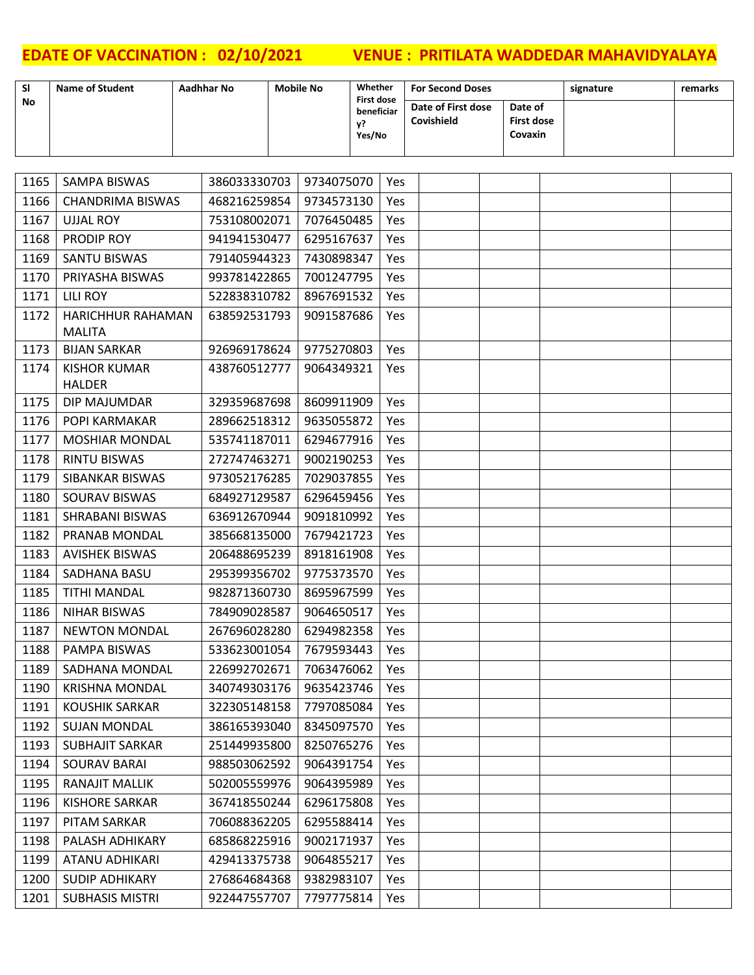| SI        | <b>Name of Student</b> | Aadhhar No | <b>Mobile No</b> | Whether<br><b>First dose</b> | <b>For Second Doses</b>          |                                         | signature | remarks |
|-----------|------------------------|------------|------------------|------------------------------|----------------------------------|-----------------------------------------|-----------|---------|
| <b>No</b> |                        |            |                  | beneficiar<br>v?<br>Yes/No   | Date of First dose<br>Covishield | Date of<br><b>First dose</b><br>Covaxin |           |         |

| 1165 | SAMPA BISWAS                       | 386033330703 | 9734075070 | <b>Yes</b> |  |  |
|------|------------------------------------|--------------|------------|------------|--|--|
| 1166 | <b>CHANDRIMA BISWAS</b>            | 468216259854 | 9734573130 | <b>Yes</b> |  |  |
| 1167 | <b>UJJAL ROY</b>                   | 753108002071 | 7076450485 | <b>Yes</b> |  |  |
| 1168 | PRODIP ROY                         | 941941530477 | 6295167637 | <b>Yes</b> |  |  |
| 1169 | <b>SANTU BISWAS</b>                | 791405944323 | 7430898347 | <b>Yes</b> |  |  |
| 1170 | PRIYASHA BISWAS                    | 993781422865 | 7001247795 | Yes        |  |  |
| 1171 | LILI ROY                           | 522838310782 | 8967691532 | Yes        |  |  |
| 1172 | HARICHHUR RAHAMAN<br><b>MALITA</b> | 638592531793 | 9091587686 | <b>Yes</b> |  |  |
| 1173 | <b>BIJAN SARKAR</b>                | 926969178624 | 9775270803 | <b>Yes</b> |  |  |
| 1174 | <b>KISHOR KUMAR</b>                | 438760512777 | 9064349321 | Yes        |  |  |
|      | <b>HALDER</b>                      |              |            |            |  |  |
| 1175 | DIP MAJUMDAR                       | 329359687698 | 8609911909 | Yes        |  |  |
| 1176 | POPI KARMAKAR                      | 289662518312 | 9635055872 | Yes        |  |  |
| 1177 | <b>MOSHIAR MONDAL</b>              | 535741187011 | 6294677916 | Yes        |  |  |
| 1178 | <b>RINTU BISWAS</b>                | 272747463271 | 9002190253 | Yes        |  |  |
| 1179 | SIBANKAR BISWAS                    | 973052176285 | 7029037855 | <b>Yes</b> |  |  |
| 1180 | SOURAV BISWAS                      | 684927129587 | 6296459456 | Yes        |  |  |
| 1181 | <b>SHRABANI BISWAS</b>             | 636912670944 | 9091810992 | Yes        |  |  |
| 1182 | PRANAB MONDAL                      | 385668135000 | 7679421723 | <b>Yes</b> |  |  |
| 1183 | <b>AVISHEK BISWAS</b>              | 206488695239 | 8918161908 | Yes        |  |  |
| 1184 | SADHANA BASU                       | 295399356702 | 9775373570 | Yes        |  |  |
| 1185 | <b>TITHI MANDAL</b>                | 982871360730 | 8695967599 | <b>Yes</b> |  |  |
| 1186 | <b>NIHAR BISWAS</b>                | 784909028587 | 9064650517 | Yes        |  |  |
| 1187 | <b>NEWTON MONDAL</b>               | 267696028280 | 6294982358 | Yes        |  |  |
| 1188 | PAMPA BISWAS                       | 533623001054 | 7679593443 | Yes        |  |  |
| 1189 | SADHANA MONDAL                     | 226992702671 | 7063476062 | Yes        |  |  |
| 1190 | <b>KRISHNA MONDAL</b>              | 340749303176 | 9635423746 | Yes        |  |  |
| 1191 | <b>KOUSHIK SARKAR</b>              | 322305148158 | 7797085084 | <b>Yes</b> |  |  |
| 1192 | <b>SUJAN MONDAL</b>                | 386165393040 | 8345097570 | Yes        |  |  |
| 1193 | <b>SUBHAJIT SARKAR</b>             | 251449935800 | 8250765276 | Yes        |  |  |
| 1194 | <b>SOURAV BARAI</b>                | 988503062592 | 9064391754 | Yes        |  |  |
| 1195 | RANAJIT MALLIK                     | 502005559976 | 9064395989 | Yes        |  |  |
| 1196 | <b>KISHORE SARKAR</b>              | 367418550244 | 6296175808 | Yes        |  |  |
| 1197 | PITAM SARKAR                       | 706088362205 | 6295588414 | Yes        |  |  |
| 1198 | PALASH ADHIKARY                    | 685868225916 | 9002171937 | Yes        |  |  |
| 1199 | <b>ATANU ADHIKARI</b>              | 429413375738 | 9064855217 | Yes        |  |  |
| 1200 | <b>SUDIP ADHIKARY</b>              | 276864684368 | 9382983107 | Yes        |  |  |
| 1201 | <b>SUBHASIS MISTRI</b>             | 922447557707 | 7797775814 | Yes        |  |  |
|      |                                    |              |            |            |  |  |